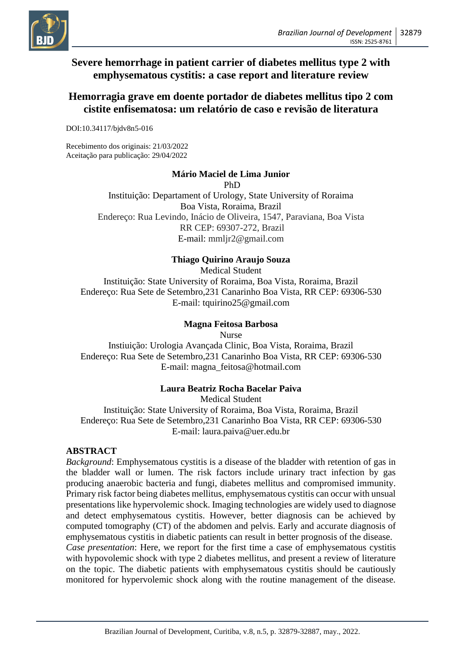

# **Severe hemorrhage in patient carrier of diabetes mellitus type 2 with emphysematous cystitis: a case report and literature review**

# **Hemorragia grave em doente portador de diabetes mellitus tipo 2 com cistite enfisematosa: um relatório de caso e revisão de literatura**

DOI:10.34117/bjdv8n5-016

Recebimento dos originais: 21/03/2022 Aceitação para publicação: 29/04/2022

### **Mário Maciel de Lima Junior**

PhD

Instituição: Departament of Urology, State University of Roraima Boa Vista, Roraima, Brazil Endereço: Rua Levindo, Inácio de Oliveira, 1547, Paraviana, Boa Vista RR CEP: 69307-272, Brazil E-mail: mmljr2@gmail.com

### **Thiago Quirino Araujo Souza**

Medical Student Instituição: State University of Roraima, Boa Vista, Roraima, Brazil Endereço: Rua Sete de Setembro,231 Canarinho Boa Vista, RR CEP: 69306-530 E-mail: tquirino25@gmail.com

### **Magna Feitosa Barbosa**

Nurse Instiuição: Urologia Avançada Clinic, Boa Vista, Roraima, Brazil Endereço: Rua Sete de Setembro,231 Canarinho Boa Vista, RR CEP: 69306-530 E-mail: magna\_feitosa@hotmail.com

### **Laura Beatriz Rocha Bacelar Paiva**

Medical Student Instituição: State University of Roraima, Boa Vista, Roraima, Brazil Endereço: Rua Sete de Setembro,231 Canarinho Boa Vista, RR CEP: 69306-530 E-mail: laura.paiva@uer.edu.br

#### **ABSTRACT**

*Background*: Emphysematous cystitis is a disease of the bladder with retention of gas in the bladder wall or lumen. The risk factors include urinary tract infection by gas producing anaerobic bacteria and fungi, diabetes mellitus and compromised immunity. Primary risk factor being diabetes mellitus, emphysematous cystitis can occur with unsual presentations like hypervolemic shock. Imaging technologies are widely used to diagnose and detect emphysematous cystitis. However, better diagnosis can be achieved by computed tomography (CT) of the abdomen and pelvis. Early and accurate diagnosis of emphysematous cystitis in diabetic patients can result in better prognosis of the disease. *Case presentation*: Here, we report for the first time a case of emphysematous cystitis with hypovolemic shock with type 2 diabetes mellitus, and present a review of literature on the topic. The diabetic patients with emphysematous cystitis should be cautiously monitored for hypervolemic shock along with the routine management of the disease.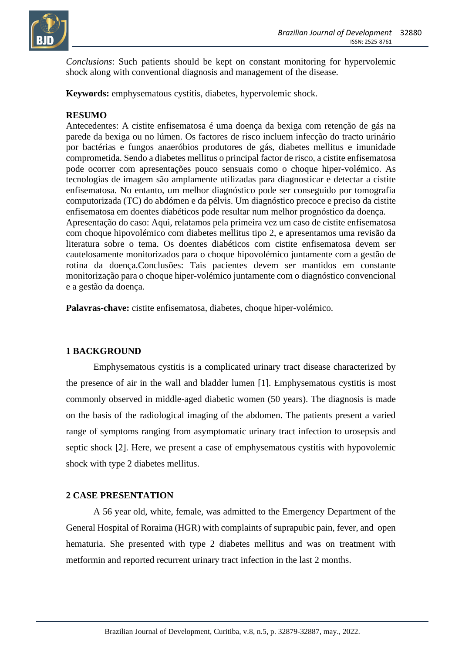

*Conclusions*: Such patients should be kept on constant monitoring for hypervolemic shock along with conventional diagnosis and management of the disease.

**Keywords:** emphysematous cystitis, diabetes, hypervolemic shock.

#### **RESUMO**

Antecedentes: A cistite enfisematosa é uma doença da bexiga com retenção de gás na parede da bexiga ou no lúmen. Os factores de risco incluem infecção do tracto urinário por bactérias e fungos anaeróbios produtores de gás, diabetes mellitus e imunidade comprometida. Sendo a diabetes mellitus o principal factor de risco, a cistite enfisematosa pode ocorrer com apresentações pouco sensuais como o choque hiper-volémico. As tecnologias de imagem são amplamente utilizadas para diagnosticar e detectar a cistite enfisematosa. No entanto, um melhor diagnóstico pode ser conseguido por tomografia computorizada (TC) do abdómen e da pélvis. Um diagnóstico precoce e preciso da cistite enfisematosa em doentes diabéticos pode resultar num melhor prognóstico da doença. Apresentação do caso: Aqui, relatamos pela primeira vez um caso de cistite enfisematosa com choque hipovolémico com diabetes mellitus tipo 2, e apresentamos uma revisão da literatura sobre o tema. Os doentes diabéticos com cistite enfisematosa devem ser cautelosamente monitorizados para o choque hipovolémico juntamente com a gestão de rotina da doença.Conclusões: Tais pacientes devem ser mantidos em constante monitorização para o choque hiper-volémico juntamente com o diagnóstico convencional e a gestão da doença.

**Palavras-chave:** cistite enfisematosa, diabetes, choque hiper-volémico.

#### **1 BACKGROUND**

Emphysematous cystitis is a complicated urinary tract disease characterized by the presence of air in the wall and bladder lumen [1]. Emphysematous cystitis is most commonly observed in middle-aged diabetic women (50 years). The diagnosis is made on the basis of the radiological imaging of the abdomen. The patients present a varied range of symptoms ranging from asymptomatic urinary tract infection to urosepsis and septic shock [2]. Here, we present a case of emphysematous cystitis with hypovolemic shock with type 2 diabetes mellitus.

#### **2 CASE PRESENTATION**

A 56 year old, white, female, was admitted to the Emergency Department of the General Hospital of Roraima (HGR) with complaints of suprapubic pain, fever, and open hematuria. She presented with type 2 diabetes mellitus and was on treatment with metformin and reported recurrent urinary tract infection in the last 2 months.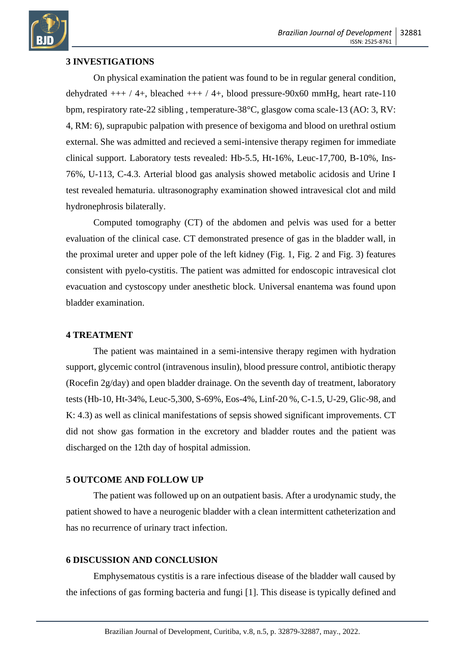

### **3 INVESTIGATIONS**

On physical examination the patient was found to be in regular general condition, dehydrated  $++$  / 4+, bleached  $++$  / 4+, blood pressure-90x60 mmHg, heart rate-110 bpm, respiratory rate-22 sibling , temperature-38°C, glasgow coma scale-13 (AO: 3, RV: 4, RM: 6), suprapubic palpation with presence of bexigoma and blood on urethral ostium external. She was admitted and recieved a semi-intensive therapy regimen for immediate clinical support. Laboratory tests revealed: Hb-5.5, Ht-16%, Leuc-17,700, B-10%, Ins-76%, U-113, C-4.3. Arterial blood gas analysis showed metabolic acidosis and Urine I test revealed hematuria. ultrasonography examination showed intravesical clot and mild hydronephrosis bilaterally.

Computed tomography (CT) of the abdomen and pelvis was used for a better evaluation of the clinical case. CT demonstrated presence of gas in the bladder wall, in the proximal ureter and upper pole of the left kidney (Fig. 1, Fig. 2 and Fig. 3) features consistent with pyelo-cystitis. The patient was admitted for endoscopic intravesical clot evacuation and cystoscopy under anesthetic block. Universal enantema was found upon bladder examination.

#### **4 TREATMENT**

The patient was maintained in a semi-intensive therapy regimen with hydration support, glycemic control (intravenous insulin), blood pressure control, antibiotic therapy (Rocefin 2g/day) and open bladder drainage. On the seventh day of treatment, laboratory tests (Hb-10, Ht-34%, Leuc-5,300, S-69%, Eos-4%, Linf-20 %, C-1.5, U-29, Glic-98, and K: 4.3) as well as clinical manifestations of sepsis showed significant improvements. CT did not show gas formation in the excretory and bladder routes and the patient was discharged on the 12th day of hospital admission.

#### **5 OUTCOME AND FOLLOW UP**

The patient was followed up on an outpatient basis. After a urodynamic study, the patient showed to have a neurogenic bladder with a clean intermittent catheterization and has no recurrence of urinary tract infection.

#### **6 DISCUSSION AND CONCLUSION**

Emphysematous cystitis is a rare infectious disease of the bladder wall caused by the infections of gas forming bacteria and fungi [1]. This disease is typically defined and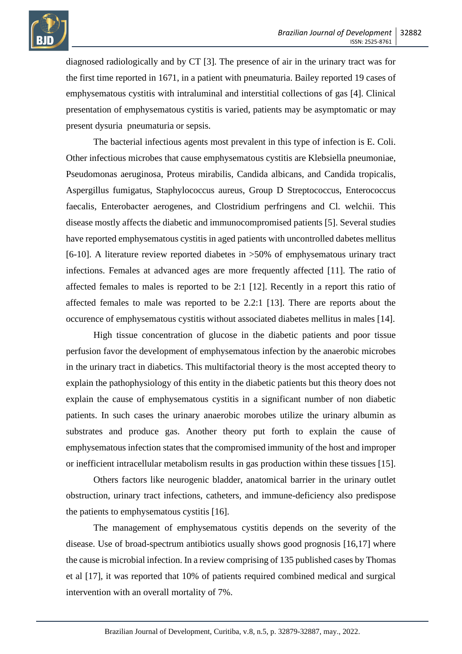

diagnosed radiologically and by CT [3]. The presence of air in the urinary tract was for the first time reported in 1671, in a patient with pneumaturia. Bailey reported 19 cases of emphysematous cystitis with intraluminal and interstitial collections of gas [4]. Clinical presentation of emphysematous cystitis is varied, patients may be asymptomatic or may present dysuria pneumaturia or sepsis.

The bacterial infectious agents most prevalent in this type of infection is E. Coli. Other infectious microbes that cause emphysematous cystitis are Klebsiella pneumoniae, Pseudomonas aeruginosa, Proteus mirabilis, Candida albicans, and Candida tropicalis, Aspergillus fumigatus, Staphylococcus aureus, Group D Streptococcus, Enterococcus faecalis, Enterobacter aerogenes, and Clostridium perfringens and Cl. welchii. This disease mostly affects the diabetic and immunocompromised patients [5]. Several studies have reported emphysematous cystitis in aged patients with uncontrolled dabetes mellitus [6-10]. A literature review reported diabetes in >50% of emphysematous urinary tract infections. Females at advanced ages are more frequently affected [11]. The ratio of affected females to males is reported to be 2:1 [12]. Recently in a report this ratio of affected females to male was reported to be 2.2:1 [13]. There are reports about the occurence of emphysematous cystitis without associated diabetes mellitus in males [14].

High tissue concentration of glucose in the diabetic patients and poor tissue perfusion favor the development of emphysematous infection by the anaerobic microbes in the urinary tract in diabetics. This multifactorial theory is the most accepted theory to explain the pathophysiology of this entity in the diabetic patients but this theory does not explain the cause of emphysematous cystitis in a significant number of non diabetic patients. In such cases the urinary anaerobic morobes utilize the urinary albumin as substrates and produce gas. Another theory put forth to explain the cause of emphysematous infection states that the compromised immunity of the host and improper or inefficient intracellular metabolism results in gas production within these tissues [15].

Others factors like neurogenic bladder, anatomical barrier in the urinary outlet obstruction, urinary tract infections, catheters, and immune-deficiency also predispose the patients to emphysematous cystitis [16].

The management of emphysematous cystitis depends on the severity of the disease. Use of broad-spectrum antibiotics usually shows good prognosis [16,17] where the cause is microbial infection. In a review comprising of 135 published cases by Thomas et al [17], it was reported that 10% of patients required combined medical and surgical intervention with an overall mortality of 7%.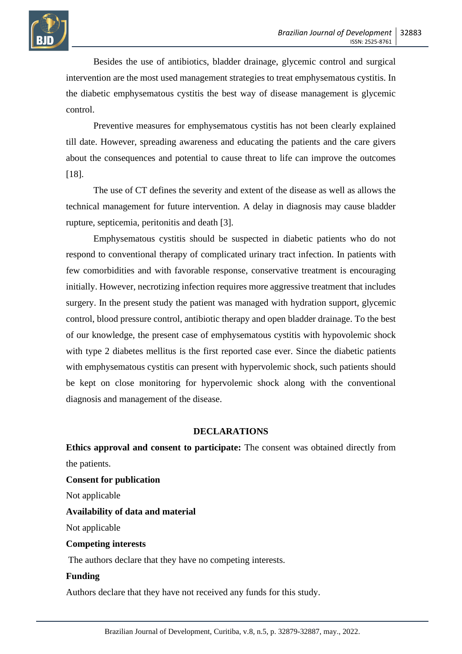

Besides the use of antibiotics, bladder drainage, glycemic control and surgical intervention are the most used management strategies to treat emphysematous cystitis. In the diabetic emphysematous cystitis the best way of disease management is glycemic control.

Preventive measures for emphysematous cystitis has not been clearly explained till date. However, spreading awareness and educating the patients and the care givers about the consequences and potential to cause threat to life can improve the outcomes [18].

The use of CT defines the severity and extent of the disease as well as allows the technical management for future intervention. A delay in diagnosis may cause bladder rupture, septicemia, peritonitis and death [3].

Emphysematous cystitis should be suspected in diabetic patients who do not respond to conventional therapy of complicated urinary tract infection. In patients with few comorbidities and with favorable response, conservative treatment is encouraging initially. However, necrotizing infection requires more aggressive treatment that includes surgery. In the present study the patient was managed with hydration support, glycemic control, blood pressure control, antibiotic therapy and open bladder drainage. To the best of our knowledge, the present case of emphysematous cystitis with hypovolemic shock with type 2 diabetes mellitus is the first reported case ever. Since the diabetic patients with emphysematous cystitis can present with hypervolemic shock, such patients should be kept on close monitoring for hypervolemic shock along with the conventional diagnosis and management of the disease.

#### **DECLARATIONS**

**Ethics approval and consent to participate:** The consent was obtained directly from the patients.

**Consent for publication**  Not applicable **Availability of data and material** Not applicable **Competing interests**

The authors declare that they have no competing interests.

#### **Funding**

Authors declare that they have not received any funds for this study.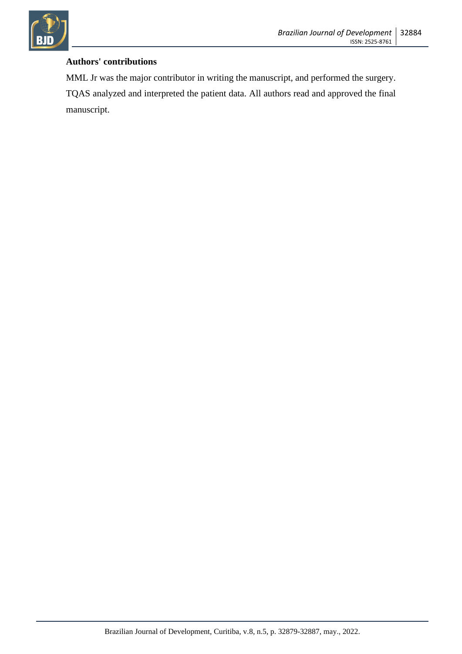

## **Authors' contributions**

MML Jr was the major contributor in writing the manuscript, and performed the surgery. TQAS analyzed and interpreted the patient data. All authors read and approved the final manuscript.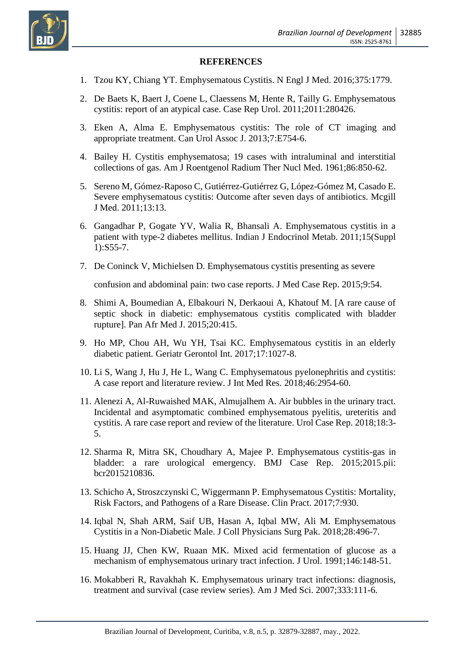

#### **REFERENCES**

- 1. Tzou KY, Chiang YT. Emphysematous Cystitis. N Engl J Med. 2016;375:1779.
- 2. De Baets K, Baert J, Coene L, Claessens M, Hente R, Tailly G. Emphysematous cystitis: report of an atypical case. Case Rep Urol. 2011;2011:280426.
- 3. Eken A, Alma E. Emphysematous cystitis: The role of CT imaging and appropriate treatment. Can Urol Assoc J. 2013;7:E754-6.
- 4. Bailey H. Cystitis emphysematosa; 19 cases with intraluminal and interstitial collections of gas. Am J Roentgenol Radium Ther Nucl Med. 1961;86:850-62.
- 5. Sereno M, Gómez-Raposo C, Gutiérrez-Gutiérrez G, López-Gómez M, Casado E. Severe emphysematous cystitis: Outcome after seven days of antibiotics. Mcgill J Med. 2011;13:13.
- 6. Gangadhar P, Gogate YV, Walia R, Bhansali A. Emphysematous cystitis in a patient with type-2 diabetes mellitus. Indian J Endocrinol Metab. 2011;15(Suppl 1):S55-7.
- 7. De Coninck V, Michielsen D. Emphysematous cystitis presenting as severe

confusion and abdominal pain: two case reports. J Med Case Rep. 2015;9:54.

- 8. Shimi A, Boumedian A, Elbakouri N, Derkaoui A, Khatouf M. [A rare cause of septic shock in diabetic: emphysematous cystitis complicated with bladder rupture]. Pan Afr Med J. 2015;20:415.
- 9. Ho MP, Chou AH, Wu YH, Tsai KC. Emphysematous cystitis in an elderly diabetic patient. Geriatr Gerontol Int. 2017;17:1027-8.
- 10. Li S, Wang J, Hu J, He L, Wang C. Emphysematous pyelonephritis and cystitis: A case report and literature review. J Int Med Res. 2018;46:2954-60.
- 11. Alenezi A, Al-Ruwaished MAK, Almujalhem A. Air bubbles in the urinary tract. Incidental and asymptomatic combined emphysematous pyelitis, ureteritis and cystitis. A rare case report and review of the literature. Urol Case Rep. 2018;18:3- 5.
- 12. Sharma R, Mitra SK, Choudhary A, Majee P. Emphysematous cystitis-gas in bladder: a rare urological emergency. BMJ Case Rep. 2015;2015.pii: bcr2015210836.
- 13. Schicho A, Stroszczynski C, Wiggermann P. Emphysematous Cystitis: Mortality, Risk Factors, and Pathogens of a Rare Disease. Clin Pract. 2017;7:930.
- 14. Iqbal N, Shah ARM, Saif UB, Hasan A, Iqbal MW, Ali M. Emphysematous Cystitis in a Non-Diabetic Male. J Coll Physicians Surg Pak. 2018;28:496-7.
- 15. Huang JJ, Chen KW, Ruaan MK. Mixed acid fermentation of glucose as a mechanism of emphysematous urinary tract infection. J Urol. 1991;146:148-51.
- 16. Mokabberi R, Ravakhah K. Emphysematous urinary tract infections: diagnosis, treatment and survival (case review series). Am J Med Sci. 2007;333:111-6.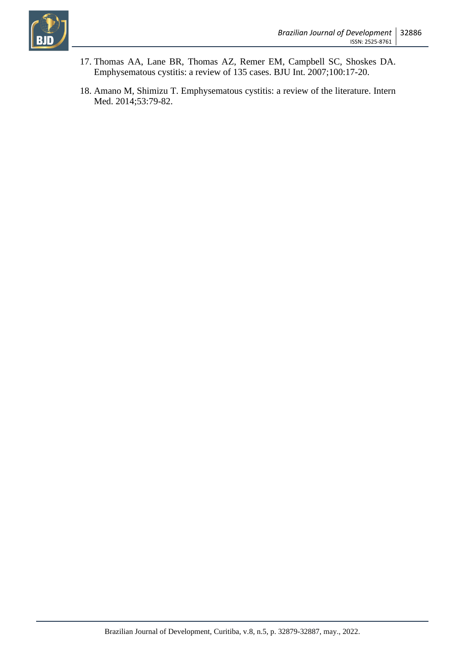

- 17. Thomas AA, Lane BR, Thomas AZ, Remer EM, Campbell SC, Shoskes DA. Emphysematous cystitis: a review of 135 cases. BJU Int. 2007;100:17-20.
- 18. Amano M, Shimizu T. Emphysematous cystitis: a review of the literature. Intern Med. 2014;53:79-82.